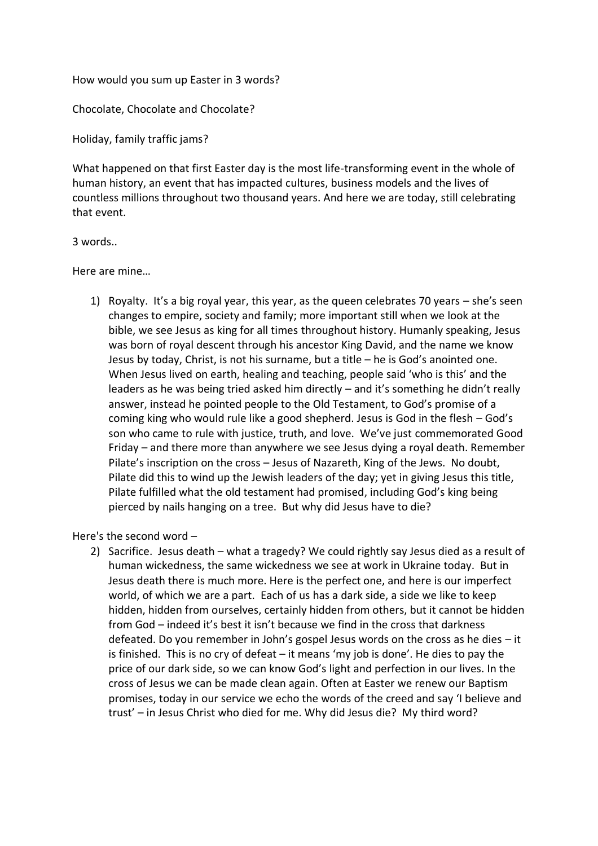How would you sum up Easter in 3 words?

Chocolate, Chocolate and Chocolate?

Holiday, family traffic jams?

What happened on that first Easter day is the most life-transforming event in the whole of human history, an event that has impacted cultures, business models and the lives of countless millions throughout two thousand years. And here we are today, still celebrating that event.

3 words..

Here are mine…

1) Royalty. It's a big royal year, this year, as the queen celebrates 70 years – she's seen changes to empire, society and family; more important still when we look at the bible, we see Jesus as king for all times throughout history. Humanly speaking, Jesus was born of royal descent through his ancestor King David, and the name we know Jesus by today, Christ, is not his surname, but a title – he is God's anointed one. When Jesus lived on earth, healing and teaching, people said 'who is this' and the leaders as he was being tried asked him directly – and it's something he didn't really answer, instead he pointed people to the Old Testament, to God's promise of a coming king who would rule like a good shepherd. Jesus is God in the flesh – God's son who came to rule with justice, truth, and love. We've just commemorated Good Friday – and there more than anywhere we see Jesus dying a royal death. Remember Pilate's inscription on the cross – Jesus of Nazareth, King of the Jews. No doubt, Pilate did this to wind up the Jewish leaders of the day; yet in giving Jesus this title, Pilate fulfilled what the old testament had promised, including God's king being pierced by nails hanging on a tree. But why did Jesus have to die?

Here's the second word –

2) Sacrifice. Jesus death – what a tragedy? We could rightly say Jesus died as a result of human wickedness, the same wickedness we see at work in Ukraine today. But in Jesus death there is much more. Here is the perfect one, and here is our imperfect world, of which we are a part. Each of us has a dark side, a side we like to keep hidden, hidden from ourselves, certainly hidden from others, but it cannot be hidden from God – indeed it's best it isn't because we find in the cross that darkness defeated. Do you remember in John's gospel Jesus words on the cross as he dies – it is finished. This is no cry of defeat – it means 'my job is done'. He dies to pay the price of our dark side, so we can know God's light and perfection in our lives. In the cross of Jesus we can be made clean again. Often at Easter we renew our Baptism promises, today in our service we echo the words of the creed and say 'I believe and trust' – in Jesus Christ who died for me. Why did Jesus die? My third word?